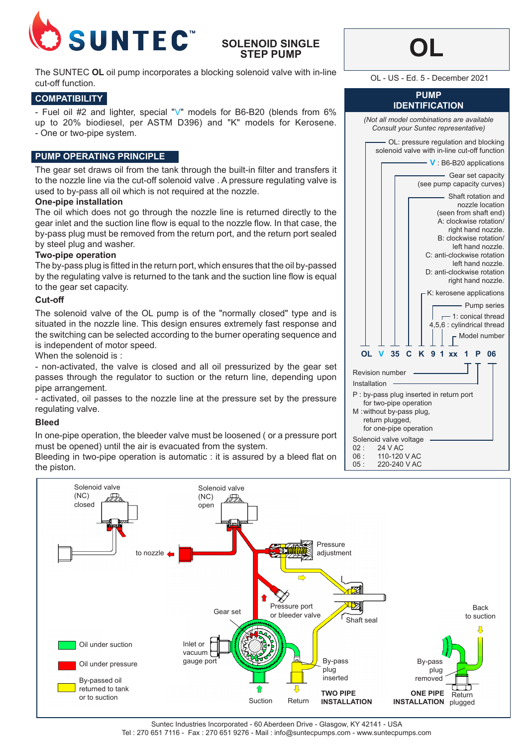

## **SOLENOID SINGLE STEP PUMP**

The SUNTEC OL oil pump incorporates a blocking solenoid valve with in-line <br>CL - US - Ed. 5 - December 2021 cut-off function.

## **COMPATIBILITY**

- Fuel oil #2 and lighter, special "V" models for B6-B20 (blends from 6% up to 20% biodiesel, per ASTM D396) and "K" models for Kerosene. - One or two-pipe system.

### **PUMP OPERATING PRINCIPLE**

The gear set draws oil from the tank through the built-in filter and transfers it to the nozzle line via the cut-off solenoid valve . A pressure regulating valve is used to by-pass all oil which is not required at the nozzle.

### **One-pipe installation**

The oil which does not go through the nozzle line is returned directly to the gear inlet and the suction line flow is equal to the nozzle flow. In that case, the by-pass plug must be removed from the return port, and the return port sealed by steel plug and washer.

### **Two-pipe operation**

The by-pass plug is fitted in the return port, which ensures that the oil by-passed by the regulating valve is returned to the tank and the suction line flow is equal to the gear set capacity.

#### **Cut-off**

The solenoid valve of the OL pump is of the "normally closed" type and is situated in the nozzle line. This design ensures extremely fast response and the switching can be selected according to the burner operating sequence and is independent of motor speed.

When the solenoid is :

- non-activated, the valve is closed and all oil pressurized by the gear set passes through the regulator to suction or the return line, depending upon pipe arrangement.

- activated, oil passes to the nozzle line at the pressure set by the pressure regulating valve.

#### **Bleed**

In one-pipe operation, the bleeder valve must be loosened ( or a pressure port must be opened) until the air is evacuated from the system.

Bleeding in two-pipe operation is automatic : it is assured by a bleed flat on the piston.

| (Not all model combinations are available<br>Consult your Suntec representative)                                                                                                                                                                                       |
|------------------------------------------------------------------------------------------------------------------------------------------------------------------------------------------------------------------------------------------------------------------------|
| OL: pressure regulation and blocking<br>solenoid valve with in-line cut-off function                                                                                                                                                                                   |
| $\sim$ V B6-B20 applications                                                                                                                                                                                                                                           |
| Gear set capacity<br>(see pump capacity curves)                                                                                                                                                                                                                        |
| - Shaft rotation and<br>nozzle location<br>(seen from shaft end)<br>A: clockwise rotation/<br>right hand nozzle.<br>B: clockwise rotation/<br>left hand nozzle.<br>C: anti-clockwise rotation<br>left hand nozzle.<br>D: anti-clockwise rotation<br>right hand nozzle. |
| K: kerosene applications                                                                                                                                                                                                                                               |
| - Pump series<br>1: conical thread<br>4,5,6 : cylindrical thread                                                                                                                                                                                                       |
| Model number                                                                                                                                                                                                                                                           |
| $V$ 35 $C$<br>K 9 1 xx<br>OL<br>1 P<br>06                                                                                                                                                                                                                              |
| <b>Revision number</b><br>Installation<br>P : by-pass plug inserted in return port<br>for two-pipe operation<br>M: without by-pass plug,<br>return plugged,<br>for one-pipe operation                                                                                  |
| Solenoid valve voltage<br>02:<br>24 V AC<br>110-120 V AC<br>06 :<br>05:<br>220-240 V AC                                                                                                                                                                                |

**OL**

**PUMP IDENTIFICATION**



Suntec Industries Incorporated - 60 Aberdeen Drive - Glasgow, KY 42141 - USA Tel : 270 651 7116 - Fax : 270 651 9276 - Mail : info@suntecpumps.com - www.suntecpumps.com